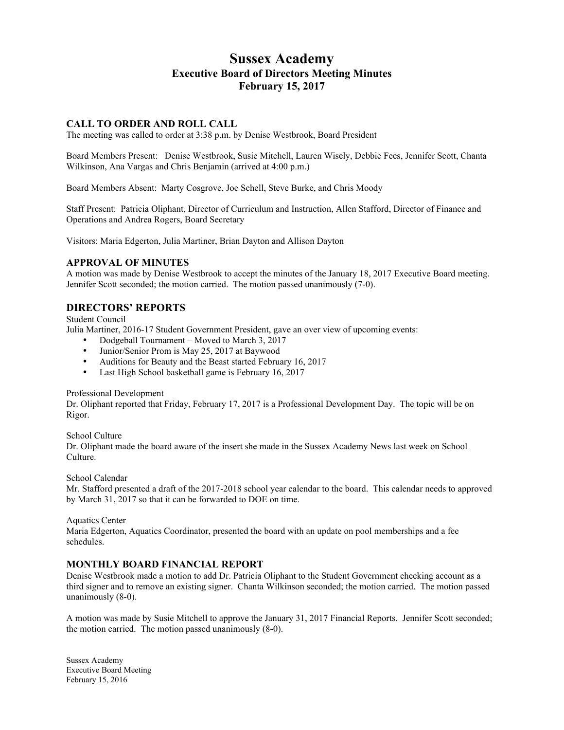# **Sussex Academy Executive Board of Directors Meeting Minutes February 15, 2017**

# **CALL TO ORDER AND ROLL CALL**

The meeting was called to order at 3:38 p.m. by Denise Westbrook, Board President

Board Members Present: Denise Westbrook, Susie Mitchell, Lauren Wisely, Debbie Fees, Jennifer Scott, Chanta Wilkinson, Ana Vargas and Chris Benjamin (arrived at 4:00 p.m.)

Board Members Absent: Marty Cosgrove, Joe Schell, Steve Burke, and Chris Moody

Staff Present: Patricia Oliphant, Director of Curriculum and Instruction, Allen Stafford, Director of Finance and Operations and Andrea Rogers, Board Secretary

Visitors: Maria Edgerton, Julia Martiner, Brian Dayton and Allison Dayton

### **APPROVAL OF MINUTES**

A motion was made by Denise Westbrook to accept the minutes of the January 18, 2017 Executive Board meeting. Jennifer Scott seconded; the motion carried. The motion passed unanimously (7-0).

# **DIRECTORS' REPORTS**

Student Council

Julia Martiner, 2016-17 Student Government President, gave an over view of upcoming events:

- Dodgeball Tournament Moved to March 3, 2017
- Junior/Senior Prom is May 25, 2017 at Baywood
- Auditions for Beauty and the Beast started February 16, 2017
- Last High School basketball game is February 16, 2017

#### Professional Development

Dr. Oliphant reported that Friday, February 17, 2017 is a Professional Development Day. The topic will be on Rigor.

School Culture

Dr. Oliphant made the board aware of the insert she made in the Sussex Academy News last week on School Culture.

School Calendar

Mr. Stafford presented a draft of the 2017-2018 school year calendar to the board. This calendar needs to approved by March 31, 2017 so that it can be forwarded to DOE on time.

Aquatics Center

Maria Edgerton, Aquatics Coordinator, presented the board with an update on pool memberships and a fee schedules.

### **MONTHLY BOARD FINANCIAL REPORT**

Denise Westbrook made a motion to add Dr. Patricia Oliphant to the Student Government checking account as a third signer and to remove an existing signer. Chanta Wilkinson seconded; the motion carried. The motion passed unanimously (8-0).

A motion was made by Susie Mitchell to approve the January 31, 2017 Financial Reports. Jennifer Scott seconded; the motion carried. The motion passed unanimously (8-0).

Sussex Academy Executive Board Meeting February 15, 2016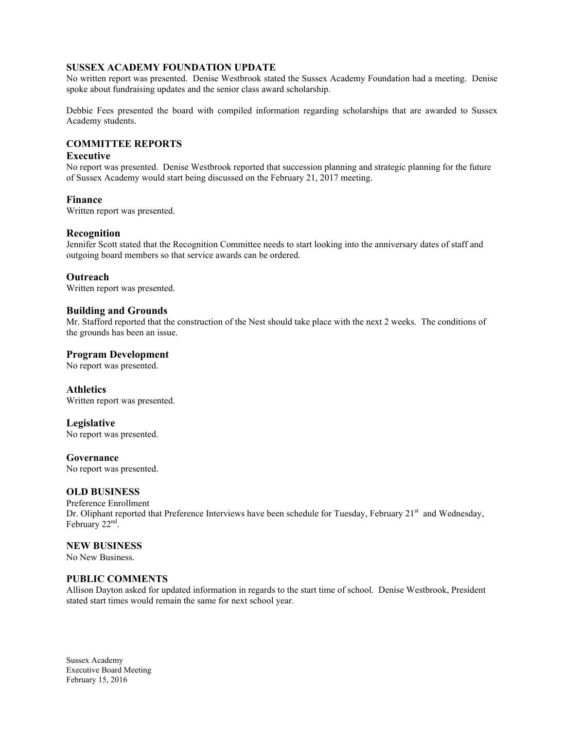## **SUSSEX ACADEMY FOUNDATION UPDATE**

No written report was presented. Denise Westbrook stated the Sussex Academy Foundation had a meeting. Denise spoke about fundraising updates and the senior class award scholarship.

Debbie Fees presented the board with compiled information regarding scholarships that are awarded to Sussex Academy students.

## **COMMITTEE REPORTS**

## **Executive**

No report was presented. Denise Westbrook reported that succession planning and strategic planning for the future of Sussex Academy would start being discussed on the February 21, 2017 meeting.

### **Finance**

Written report was presented.

### **Recognition**

Jennifer Scott stated that the Recognition Committee needs to start looking into the anniversary dates of staff and outgoing board members so that service awards can be ordered.

### **Outreach**

Written report was presented.

### **Building and Grounds**

Mr. Stafford reported that the construction of the Nest should take place with the next 2 weeks. The conditions of the grounds has been an issue.

### **Program Development**

No report was presented.

### **Athletics**

Written report was presented.

### **Legislative**

No report was presented.

#### **Governance**

No report was presented.

### **OLD BUSINESS**

#### Preference Enrollment Dr. Oliphant reported that Preference Interviews have been schedule for Tuesday, February 21<sup>st</sup> and Wednesday, February  $22<sup>nd</sup>$ .

#### **NEW BUSINESS**

No New Business.

### **PUBLIC COMMENTS**

Allison Dayton asked for updated information in regards to the start time of school. Denise Westbrook, President stated start times would remain the same for next school year.

Sussex Academy Executive Board Meeting February 15, 2016